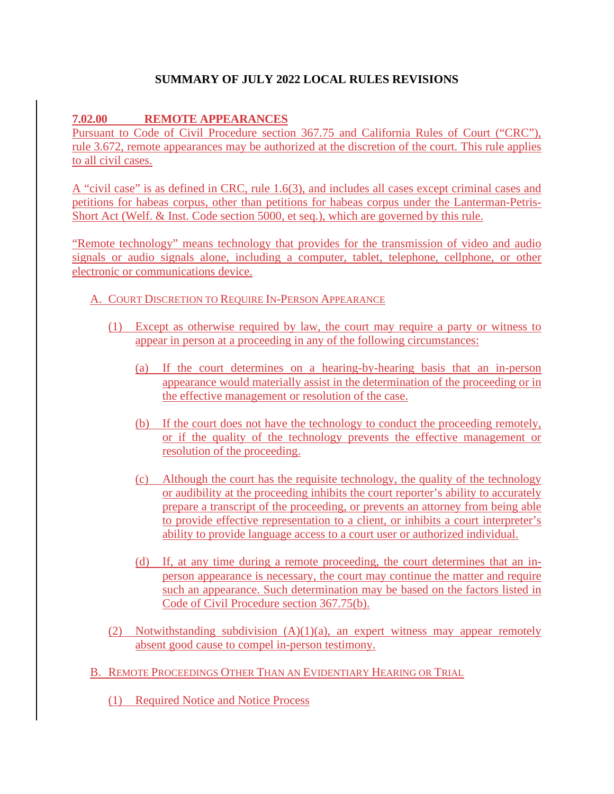# **SUMMARY OF JULY 2022 LOCAL RULES REVISIONS**

### **7.02.00 REMOTE APPEARANCES**

Pursuant to Code of Civil Procedure section 367.75 and California Rules of Court ("CRC"), rule 3.672, remote appearances may be authorized at the discretion of the court. This rule applies to all civil cases.

A "civil case" is as defined in CRC, rule 1.6(3), and includes all cases except criminal cases and petitions for habeas corpus, other than petitions for habeas corpus under the Lanterman-Petris-Short Act (Welf. & Inst. Code section 5000, et seq.), which are governed by this rule.

"Remote technology" means technology that provides for the transmission of video and audio signals or audio signals alone, including a computer, tablet, telephone, cellphone, or other electronic or communications device.

#### A. COURT DISCRETION TO REQUIRE IN-PERSON APPEARANCE

- (1) Except as otherwise required by law, the court may require a party or witness to appear in person at a proceeding in any of the following circumstances:
	- (a) If the court determines on a hearing-by-hearing basis that an in-person appearance would materially assist in the determination of the proceeding or in the effective management or resolution of the case.
	- (b) If the court does not have the technology to conduct the proceeding remotely, or if the quality of the technology prevents the effective management or resolution of the proceeding.
	- (c) Although the court has the requisite technology, the quality of the technology or audibility at the proceeding inhibits the court reporter's ability to accurately prepare a transcript of the proceeding, or prevents an attorney from being able to provide effective representation to a client, or inhibits a court interpreter's ability to provide language access to a court user or authorized individual.
	- (d) If, at any time during a remote proceeding, the court determines that an inperson appearance is necessary, the court may continue the matter and require such an appearance. Such determination may be based on the factors listed in Code of Civil Procedure section 367.75(b).
- (2) Notwithstanding subdivision (A)(1)(a), an expert witness may appear remotely absent good cause to compel in-person testimony.
- B. REMOTE PROCEEDINGS OTHER THAN AN EVIDENTIARY HEARING OR TRIAL
	- (1) Required Notice and Notice Process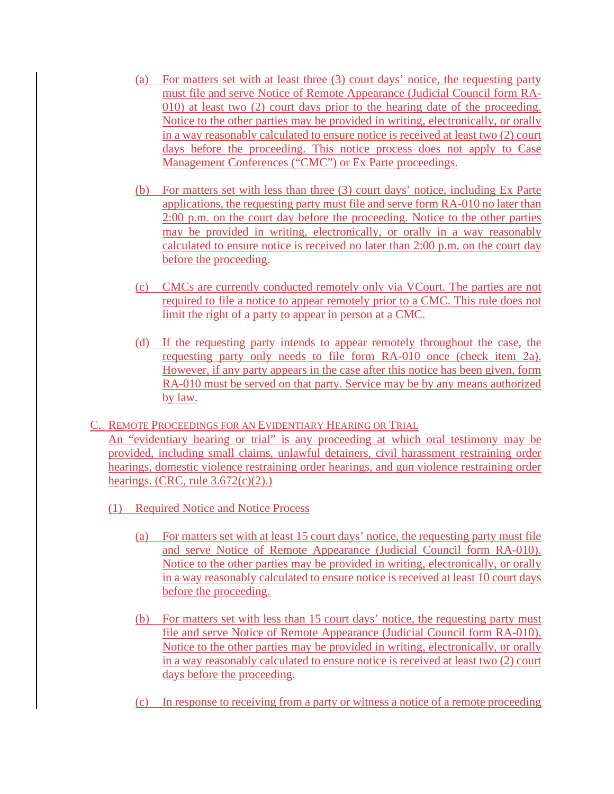- (a) For matters set with at least three (3) court days' notice, the requesting party must file and serve Notice of Remote Appearance (Judicial Council form RA-010) at least two (2) court days prior to the hearing date of the proceeding. Notice to the other parties may be provided in writing, electronically, or orally in a way reasonably calculated to ensure notice is received at least two (2) court days before the proceeding. This notice process does not apply to Case Management Conferences ("CMC") or Ex Parte proceedings.
- (b) For matters set with less than three (3) court days' notice, including Ex Parte applications, the requesting party must file and serve form RA-010 no later than 2:00 p.m. on the court day before the proceeding. Notice to the other parties may be provided in writing, electronically, or orally in a way reasonably calculated to ensure notice is received no later than 2:00 p.m. on the court day before the proceeding.
- (c) CMCs are currently conducted remotely only via VCourt. The parties are not required to file a notice to appear remotely prior to a CMC. This rule does not limit the right of a party to appear in person at a CMC.
- (d) If the requesting party intends to appear remotely throughout the case, the requesting party only needs to file form RA-010 once (check item 2a). However, if any party appears in the case after this notice has been given, form RA-010 must be served on that party. Service may be by any means authorized by law.
- C. REMOTE PROCEEDINGS FOR AN EVIDENTIARY HEARING OR TRIAL An "evidentiary hearing or trial" is any proceeding at which oral testimony may be provided, including small claims, unlawful detainers, civil harassment restraining order hearings, domestic violence restraining order hearings, and gun violence restraining order hearings. (CRC, rule  $3.672(c)(2)$ .)
	- (1) Required Notice and Notice Process
		- (a) For matters set with at least 15 court days' notice, the requesting party must file and serve Notice of Remote Appearance (Judicial Council form RA-010). Notice to the other parties may be provided in writing, electronically, or orally in a way reasonably calculated to ensure notice is received at least 10 court days before the proceeding.
		- (b) For matters set with less than 15 court days' notice, the requesting party must file and serve Notice of Remote Appearance (Judicial Council form RA-010). Notice to the other parties may be provided in writing, electronically, or orally in a way reasonably calculated to ensure notice is received at least two (2) court days before the proceeding.
		- (c) In response to receiving from a party or witness a notice of a remote proceeding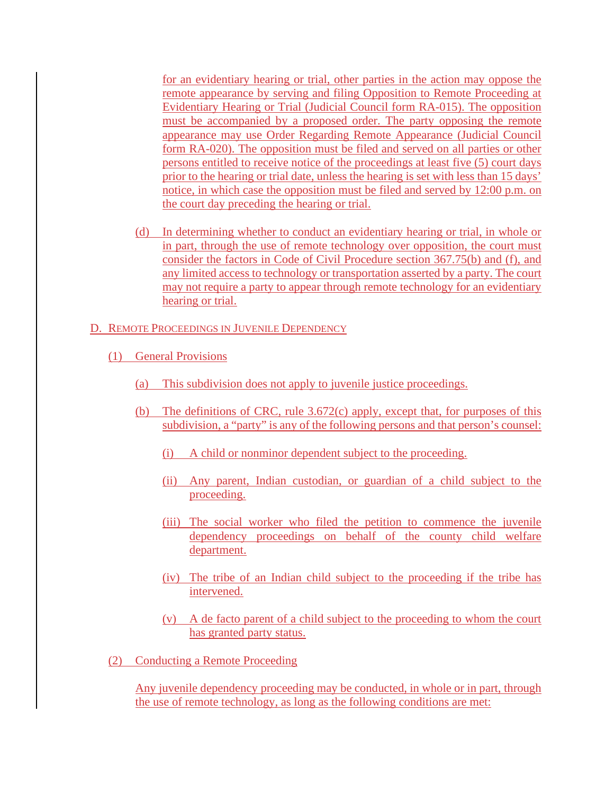for an evidentiary hearing or trial, other parties in the action may oppose the remote appearance by serving and filing Opposition to Remote Proceeding at Evidentiary Hearing or Trial (Judicial Council form RA-015). The opposition must be accompanied by a proposed order. The party opposing the remote appearance may use Order Regarding Remote Appearance (Judicial Council form RA-020). The opposition must be filed and served on all parties or other persons entitled to receive notice of the proceedings at least five (5) court days prior to the hearing or trial date, unless the hearing is set with less than 15 days' notice, in which case the opposition must be filed and served by 12:00 p.m. on the court day preceding the hearing or trial.

- (d) In determining whether to conduct an evidentiary hearing or trial, in whole or in part, through the use of remote technology over opposition, the court must consider the factors in Code of Civil Procedure section 367.75(b) and (f), and any limited access to technology or transportation asserted by a party. The court may not require a party to appear through remote technology for an evidentiary hearing or trial.
- D. REMOTE PROCEEDINGS IN JUVENILE DEPENDENCY
	- (1) General Provisions
		- (a) This subdivision does not apply to juvenile justice proceedings.
		- (b) The definitions of CRC, rule 3.672(c) apply, except that, for purposes of this subdivision, a "party" is any of the following persons and that person's counsel:
			- (i) A child or nonminor dependent subject to the proceeding.
			- (ii) Any parent, Indian custodian, or guardian of a child subject to the proceeding.
			- (iii) The social worker who filed the petition to commence the juvenile dependency proceedings on behalf of the county child welfare department.
			- (iv) The tribe of an Indian child subject to the proceeding if the tribe has intervened.
			- (v) A de facto parent of a child subject to the proceeding to whom the court has granted party status.
	- (2) Conducting a Remote Proceeding

Any juvenile dependency proceeding may be conducted, in whole or in part, through the use of remote technology, as long as the following conditions are met: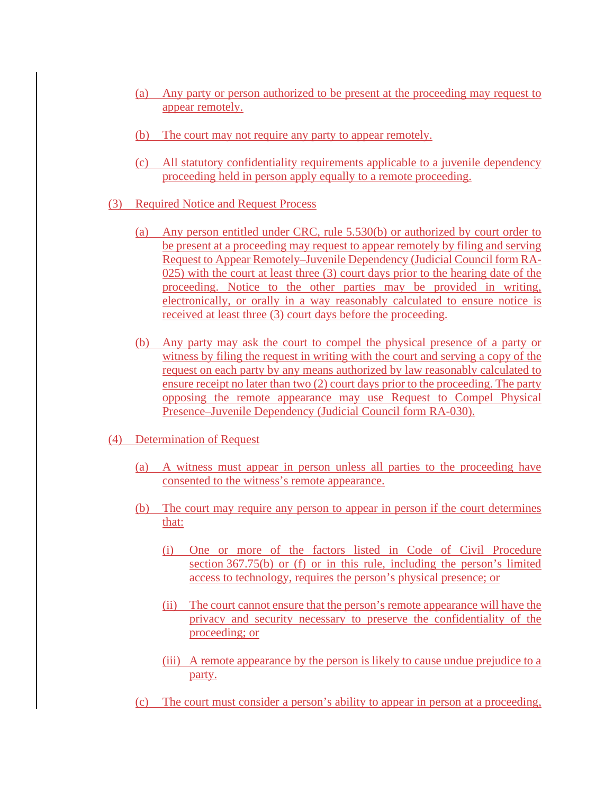- (a) Any party or person authorized to be present at the proceeding may request to appear remotely.
- (b) The court may not require any party to appear remotely.
- (c) All statutory confidentiality requirements applicable to a juvenile dependency proceeding held in person apply equally to a remote proceeding.
- (3) Required Notice and Request Process
	- (a) Any person entitled under CRC, rule 5.530(b) or authorized by court order to be present at a proceeding may request to appear remotely by filing and serving Request to Appear Remotely–Juvenile Dependency (Judicial Council form RA-025) with the court at least three (3) court days prior to the hearing date of the proceeding. Notice to the other parties may be provided in writing, electronically, or orally in a way reasonably calculated to ensure notice is received at least three (3) court days before the proceeding.
	- (b) Any party may ask the court to compel the physical presence of a party or witness by filing the request in writing with the court and serving a copy of the request on each party by any means authorized by law reasonably calculated to ensure receipt no later than two (2) court days prior to the proceeding. The party opposing the remote appearance may use Request to Compel Physical Presence–Juvenile Dependency (Judicial Council form RA-030).
- (4) Determination of Request
	- (a) A witness must appear in person unless all parties to the proceeding have consented to the witness's remote appearance.
	- (b) The court may require any person to appear in person if the court determines that:
		- (i) One or more of the factors listed in Code of Civil Procedure section 367.75(b) or (f) or in this rule, including the person's limited access to technology, requires the person's physical presence; or
		- (ii) The court cannot ensure that the person's remote appearance will have the privacy and security necessary to preserve the confidentiality of the proceeding; or
		- (iii) A remote appearance by the person is likely to cause undue prejudice to a party.
	- (c) The court must consider a person's ability to appear in person at a proceeding,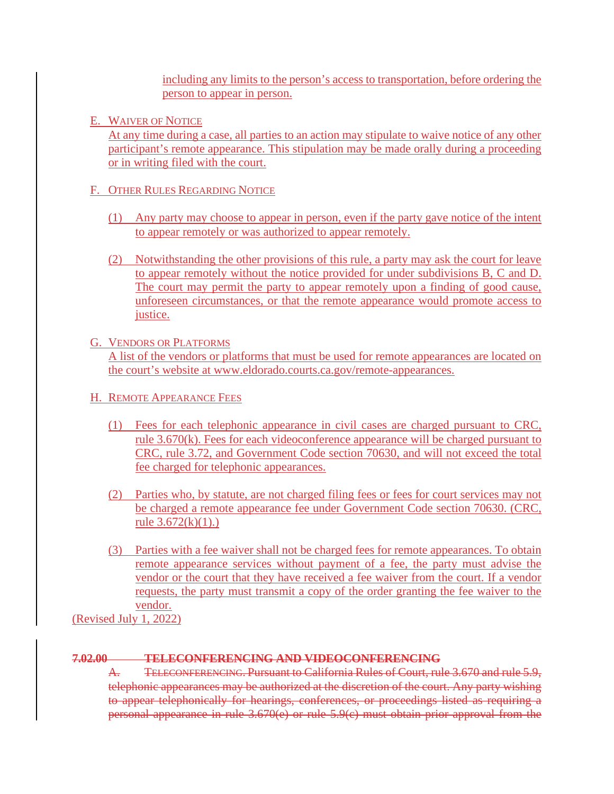including any limits to the person's access to transportation, before ordering the person to appear in person.

E. WAIVER OF NOTICE

At any time during a case, all parties to an action may stipulate to waive notice of any other participant's remote appearance. This stipulation may be made orally during a proceeding or in writing filed with the court.

# F. OTHER RULES REGARDING NOTICE

- (1) Any party may choose to appear in person, even if the party gave notice of the intent to appear remotely or was authorized to appear remotely.
- (2) Notwithstanding the other provisions of this rule, a party may ask the court for leave to appear remotely without the notice provided for under subdivisions B, C and D. The court may permit the party to appear remotely upon a finding of good cause, unforeseen circumstances, or that the remote appearance would promote access to justice.

### G. VENDORS OR PLATFORMS

A list of the vendors or platforms that must be used for remote appearances are located on the court's website at www.eldorado.courts.ca.gov/remote-appearances.

- H. REMOTE APPEARANCE FEES
	- (1) Fees for each telephonic appearance in civil cases are charged pursuant to CRC, rule 3.670(k). Fees for each videoconference appearance will be charged pursuant to CRC, rule 3.72, and Government Code section 70630, and will not exceed the total fee charged for telephonic appearances.
	- (2) Parties who, by statute, are not charged filing fees or fees for court services may not be charged a remote appearance fee under Government Code section 70630. (CRC, rule  $3.672(k)(1)$ .)
	- (3) Parties with a fee waiver shall not be charged fees for remote appearances. To obtain remote appearance services without payment of a fee, the party must advise the vendor or the court that they have received a fee waiver from the court. If a vendor requests, the party must transmit a copy of the order granting the fee waiver to the vendor.

(Revised July 1, 2022)

# **7.02.00 TELECONFERENCING AND VIDEOCONFERENCING**

A. TELECONFERENCING. Pursuant to California Rules of Court, rule 3.670 and rule 5.9, telephonic appearances may be authorized at the discretion of the court. Any party wishing to appear telephonically for hearings, conferences, or proceedings listed as requiring a personal appearance in rule 3.670(e) or rule 5.9(c) must obtain prior approval from the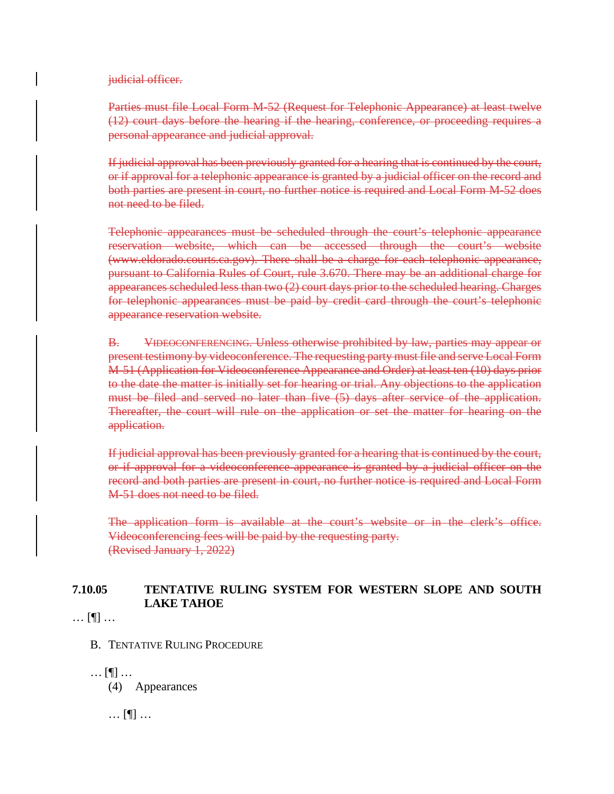judicial officer.

Parties must file Local Form M-52 (Request for Telephonic Appearance) at least twelve (12) court days before the hearing if the hearing, conference, or proceeding requires a personal appearance and judicial approval.

If judicial approval has been previously granted for a hearing that is continued by the court, or if approval for a telephonic appearance is granted by a judicial officer on the record and both parties are present in court, no further notice is required and Local Form M-52 does not need to be filed.

Telephonic appearances must be scheduled through the court's telephonic appearance reservation website, which can be accessed through the court's website (www.eldorado.courts.ca.gov). There shall be a charge for each telephonic appearance, pursuant to California Rules of Court, rule 3.670. There may be an additional charge for appearances scheduled less than two (2) court days prior to the scheduled hearing. Charges for telephonic appearances must be paid by credit card through the court's telephonic appearance reservation website.

B. VIDEOCONFERENCING. Unless otherwise prohibited by law, parties may appear or present testimony by videoconference. The requesting party must file and serve Local Form M-51 (Application for Videoconference Appearance and Order) at least ten (10) days prior to the date the matter is initially set for hearing or trial. Any objections to the application must be filed and served no later than five (5) days after service of the application. Thereafter, the court will rule on the application or set the matter for hearing on the application.

If judicial approval has been previously granted for a hearing that is continued by the court, or if approval for a videoconference appearance is granted by a judicial officer on the record and both parties are present in court, no further notice is required and Local Form M-51 does not need to be filed.

The application form is available at the court's website or in the clerk's office. Videoconferencing fees will be paid by the requesting party. (Revised January 1, 2022)

### **7.10.05 TENTATIVE RULING SYSTEM FOR WESTERN SLOPE AND SOUTH LAKE TAHOE**

… [¶] …

B. TENTATIVE RULING PROCEDURE

… [¶] … (4) Appearances

… [¶] …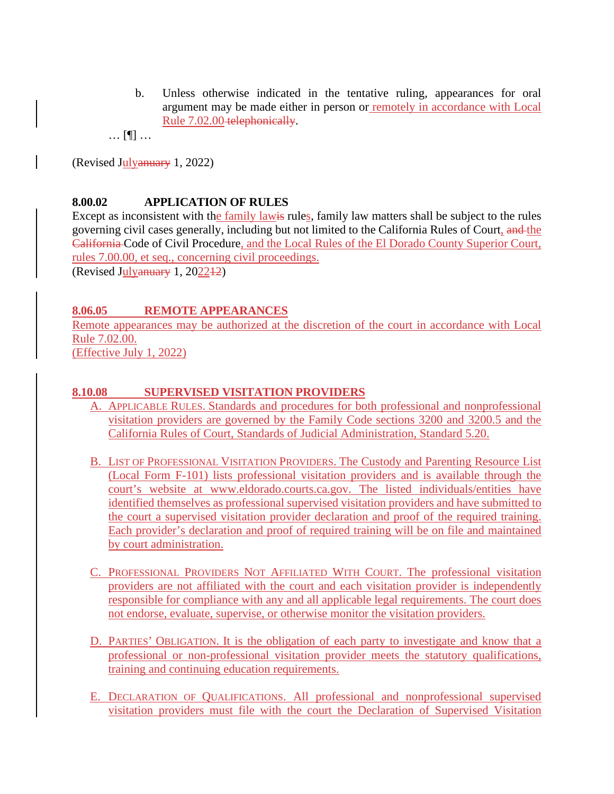b. Unless otherwise indicated in the tentative ruling, appearances for oral argument may be made either in person or remotely in accordance with Local Rule 7.02.00 telephonically.

… [¶] …

(Revised Julyanuary 1, 2022)

### **8.00.02 APPLICATION OF RULES**

Except as inconsistent with the family lawis rules, family law matters shall be subject to the rules governing civil cases generally, including but not limited to the California Rules of Court, and the California Code of Civil Procedure, and the Local Rules of the El Dorado County Superior Court, rules 7.00.00, et seq., concerning civil proceedings.

(Revised Julyanuary 1, 202212)

#### **8.06.05 REMOTE APPEARANCES**

Remote appearances may be authorized at the discretion of the court in accordance with Local Rule 7.02.00. (Effective July 1, 2022)

#### **8.10.08 SUPERVISED VISITATION PROVIDERS**

- A. APPLICABLE RULES. Standards and procedures for both professional and nonprofessional visitation providers are governed by the Family Code sections 3200 and 3200.5 and the California Rules of Court, Standards of Judicial Administration, Standard 5.20.
- B. LIST OF PROFESSIONAL VISITATION PROVIDERS. The Custody and Parenting Resource List (Local Form F-101) lists professional visitation providers and is available through the court's website at www.eldorado.courts.ca.gov. The listed individuals/entities have identified themselves as professional supervised visitation providers and have submitted to the court a supervised visitation provider declaration and proof of the required training. Each provider's declaration and proof of required training will be on file and maintained by court administration.
- C. PROFESSIONAL PROVIDERS NOT AFFILIATED WITH COURT. The professional visitation providers are not affiliated with the court and each visitation provider is independently responsible for compliance with any and all applicable legal requirements. The court does not endorse, evaluate, supervise, or otherwise monitor the visitation providers.
- D. PARTIES' OBLIGATION. It is the obligation of each party to investigate and know that a professional or non-professional visitation provider meets the statutory qualifications, training and continuing education requirements.
- E. DECLARATION OF QUALIFICATIONS. All professional and nonprofessional supervised visitation providers must file with the court the Declaration of Supervised Visitation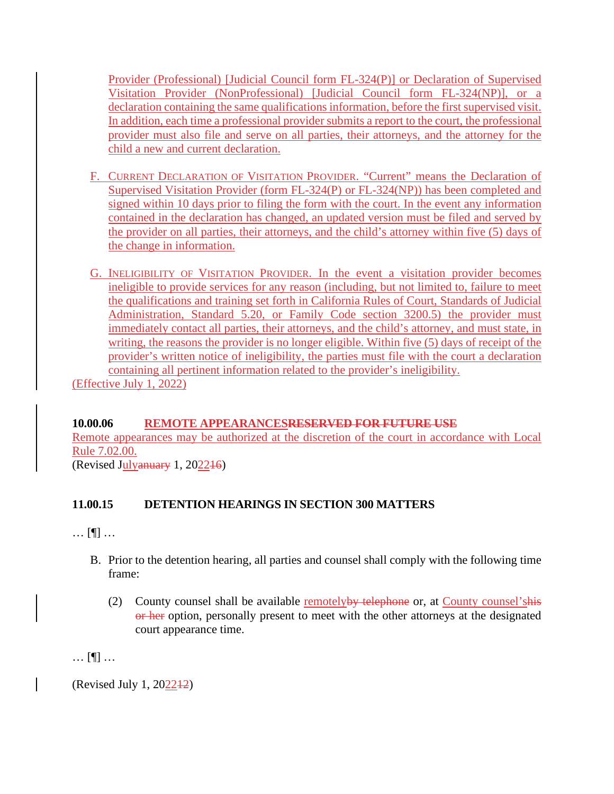Provider (Professional) [Judicial Council form FL-324(P)] or Declaration of Supervised Visitation Provider (NonProfessional) [Judicial Council form FL-324(NP)], or a declaration containing the same qualifications information, before the first supervised visit. In addition, each time a professional provider submits a report to the court, the professional provider must also file and serve on all parties, their attorneys, and the attorney for the child a new and current declaration.

- F. CURRENT DECLARATION OF VISITATION PROVIDER. "Current" means the Declaration of Supervised Visitation Provider (form FL-324(P) or FL-324(NP)) has been completed and signed within 10 days prior to filing the form with the court. In the event any information contained in the declaration has changed, an updated version must be filed and served by the provider on all parties, their attorneys, and the child's attorney within five (5) days of the change in information.
- G. INELIGIBILITY OF VISITATION PROVIDER. In the event a visitation provider becomes ineligible to provide services for any reason (including, but not limited to, failure to meet the qualifications and training set forth in California Rules of Court, Standards of Judicial Administration, Standard 5.20, or Family Code section 3200.5) the provider must immediately contact all parties, their attorneys, and the child's attorney, and must state, in writing, the reasons the provider is no longer eligible. Within five (5) days of receipt of the provider's written notice of ineligibility, the parties must file with the court a declaration containing all pertinent information related to the provider's ineligibility. (Effective July 1, 2022)

### **10.00.06 REMOTE APPEARANCESRESERVED FOR FUTURE USE**

Remote appearances may be authorized at the discretion of the court in accordance with Local Rule 7.02.00.

(Revised Julyanuary 1, 202216)

# **11.00.15 DETENTION HEARINGS IN SECTION 300 MATTERS**

… [¶] …

- B. Prior to the detention hearing, all parties and counsel shall comply with the following time frame:
	- (2) County counsel shall be available remotelyby telephone or, at County counsel'shis or her option, personally present to meet with the other attorneys at the designated court appearance time.

… [¶] …

(Revised July 1, 202212)